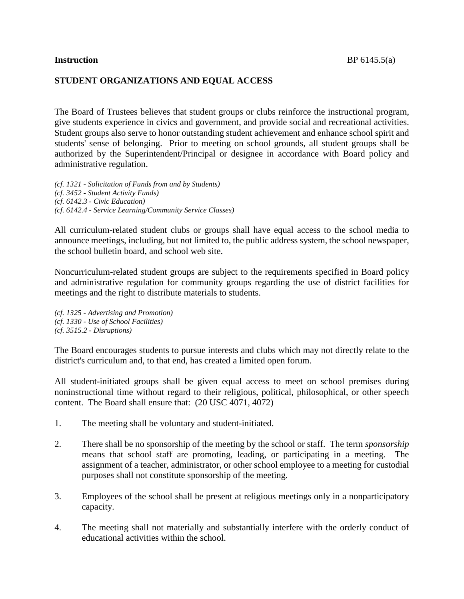# **STUDENT ORGANIZATIONS AND EQUAL ACCESS**

The Board of Trustees believes that student groups or clubs reinforce the instructional program, give students experience in civics and government, and provide social and recreational activities. Student groups also serve to honor outstanding student achievement and enhance school spirit and students' sense of belonging. Prior to meeting on school grounds, all student groups shall be authorized by the Superintendent/Principal or designee in accordance with Board policy and administrative regulation.

*(cf. 1321 - Solicitation of Funds from and by Students) (cf. 3452 - Student Activity Funds) (cf. 6142.3 - Civic Education) (cf. 6142.4 - Service Learning/Community Service Classes)*

All curriculum-related student clubs or groups shall have equal access to the school media to announce meetings, including, but not limited to, the public address system, the school newspaper, the school bulletin board, and school web site.

Noncurriculum-related student groups are subject to the requirements specified in Board policy and administrative regulation for community groups regarding the use of district facilities for meetings and the right to distribute materials to students.

*(cf. 1325 - Advertising and Promotion) (cf. 1330 - Use of School Facilities) (cf. 3515.2 - Disruptions)*

The Board encourages students to pursue interests and clubs which may not directly relate to the district's curriculum and, to that end, has created a limited open forum.

All student-initiated groups shall be given equal access to meet on school premises during noninstructional time without regard to their religious, political, philosophical, or other speech content. The Board shall ensure that: (20 USC 4071, 4072)

- 1. The meeting shall be voluntary and student-initiated.
- 2. There shall be no sponsorship of the meeting by the school or staff. The term *sponsorship*  means that school staff are promoting, leading, or participating in a meeting. The assignment of a teacher, administrator, or other school employee to a meeting for custodial purposes shall not constitute sponsorship of the meeting.
- 3. Employees of the school shall be present at religious meetings only in a nonparticipatory capacity.
- 4. The meeting shall not materially and substantially interfere with the orderly conduct of educational activities within the school.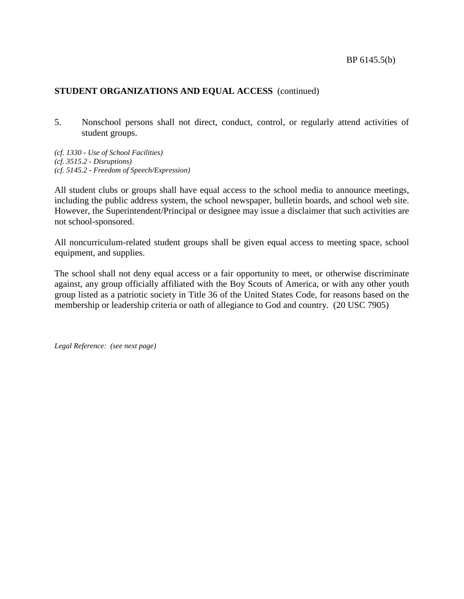# **STUDENT ORGANIZATIONS AND EQUAL ACCESS** (continued)

5. Nonschool persons shall not direct, conduct, control, or regularly attend activities of student groups.

*(cf. 1330 - Use of School Facilities) (cf. 3515.2 - Disruptions) (cf. 5145.2 - Freedom of Speech/Expression)*

All student clubs or groups shall have equal access to the school media to announce meetings, including the public address system, the school newspaper, bulletin boards, and school web site. However, the Superintendent/Principal or designee may issue a disclaimer that such activities are not school-sponsored.

All noncurriculum-related student groups shall be given equal access to meeting space, school equipment, and supplies.

The school shall not deny equal access or a fair opportunity to meet, or otherwise discriminate against, any group officially affiliated with the Boy Scouts of America, or with any other youth group listed as a patriotic society in Title 36 of the United States Code, for reasons based on the membership or leadership criteria or oath of allegiance to God and country. (20 USC 7905)

*Legal Reference: (see next page)*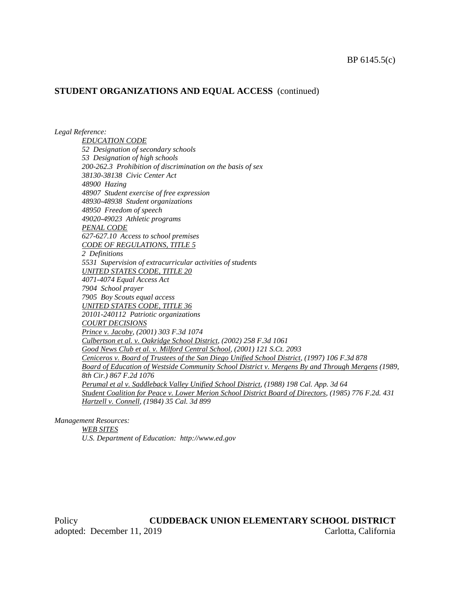### **STUDENT ORGANIZATIONS AND EQUAL ACCESS** (continued)

*Legal Reference:*

*EDUCATION CODE 52 Designation of secondary schools 53 Designation of high schools 200-262.3 Prohibition of discrimination on the basis of sex 38130-38138 Civic Center Act 48900 Hazing 48907 Student exercise of free expression 48930-48938 Student organizations 48950 Freedom of speech 49020-49023 Athletic programs PENAL CODE 627-627.10 Access to school premises CODE OF REGULATIONS, TITLE 5 2 Definitions 5531 Supervision of extracurricular activities of students UNITED STATES CODE, TITLE 20 4071-4074 Equal Access Act 7904 School prayer 7905 Boy Scouts equal access UNITED STATES CODE, TITLE 36 20101-240112 Patriotic organizations COURT DECISIONS Prince v. Jacoby, (2001) 303 F.3d 1074 Culbertson et al. v. Oakridge School District, (2002) 258 F.3d 1061 Good News Club et al. v. Milford Central School, (2001) 121 S.Ct. 2093 Ceniceros v. Board of Trustees of the San Diego Unified School District, (1997) 106 F.3d 878 Board of Education of Westside Community School District v. Mergens By and Through Mergens (1989, 8th Cir.) 867 F.2d 1076 Perumal et al v. Saddleback Valley Unified School District, (1988) 198 Cal. App. 3d 64 Student Coalition for Peace v. Lower Merion School District Board of Directors, (1985) 776 F.2d. 431 Hartzell v. Connell, (1984) 35 Cal. 3d 899*

*Management Resources:*

*WEB SITES*

*U.S. Department of Education: http://www.ed.gov*

Policy **CUDDEBACK UNION ELEMENTARY SCHOOL DISTRICT** adopted: December 11, 2019 Carlotta, California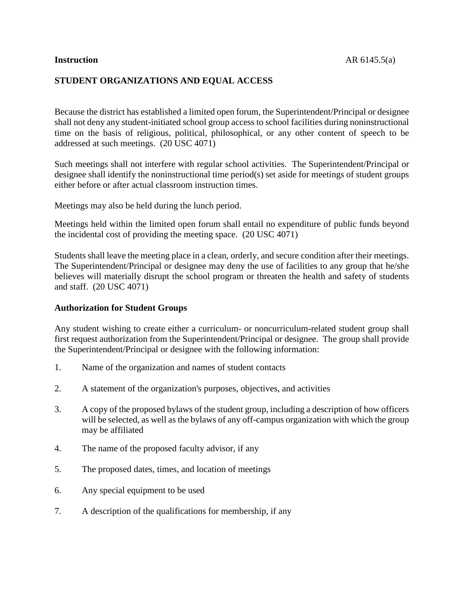# **STUDENT ORGANIZATIONS AND EQUAL ACCESS**

Because the district has established a limited open forum, the Superintendent/Principal or designee shall not deny any student-initiated school group access to school facilities during noninstructional time on the basis of religious, political, philosophical, or any other content of speech to be addressed at such meetings. (20 USC 4071)

Such meetings shall not interfere with regular school activities. The Superintendent/Principal or designee shall identify the noninstructional time period(s) set aside for meetings of student groups either before or after actual classroom instruction times.

Meetings may also be held during the lunch period.

Meetings held within the limited open forum shall entail no expenditure of public funds beyond the incidental cost of providing the meeting space. (20 USC 4071)

Students shall leave the meeting place in a clean, orderly, and secure condition after their meetings. The Superintendent/Principal or designee may deny the use of facilities to any group that he/she believes will materially disrupt the school program or threaten the health and safety of students and staff. (20 USC 4071)

#### **Authorization for Student Groups**

Any student wishing to create either a curriculum- or noncurriculum-related student group shall first request authorization from the Superintendent/Principal or designee. The group shall provide the Superintendent/Principal or designee with the following information:

- 1. Name of the organization and names of student contacts
- 2. A statement of the organization's purposes, objectives, and activities
- 3. A copy of the proposed bylaws of the student group, including a description of how officers will be selected, as well as the bylaws of any off-campus organization with which the group may be affiliated
- 4. The name of the proposed faculty advisor, if any
- 5. The proposed dates, times, and location of meetings
- 6. Any special equipment to be used
- 7. A description of the qualifications for membership, if any